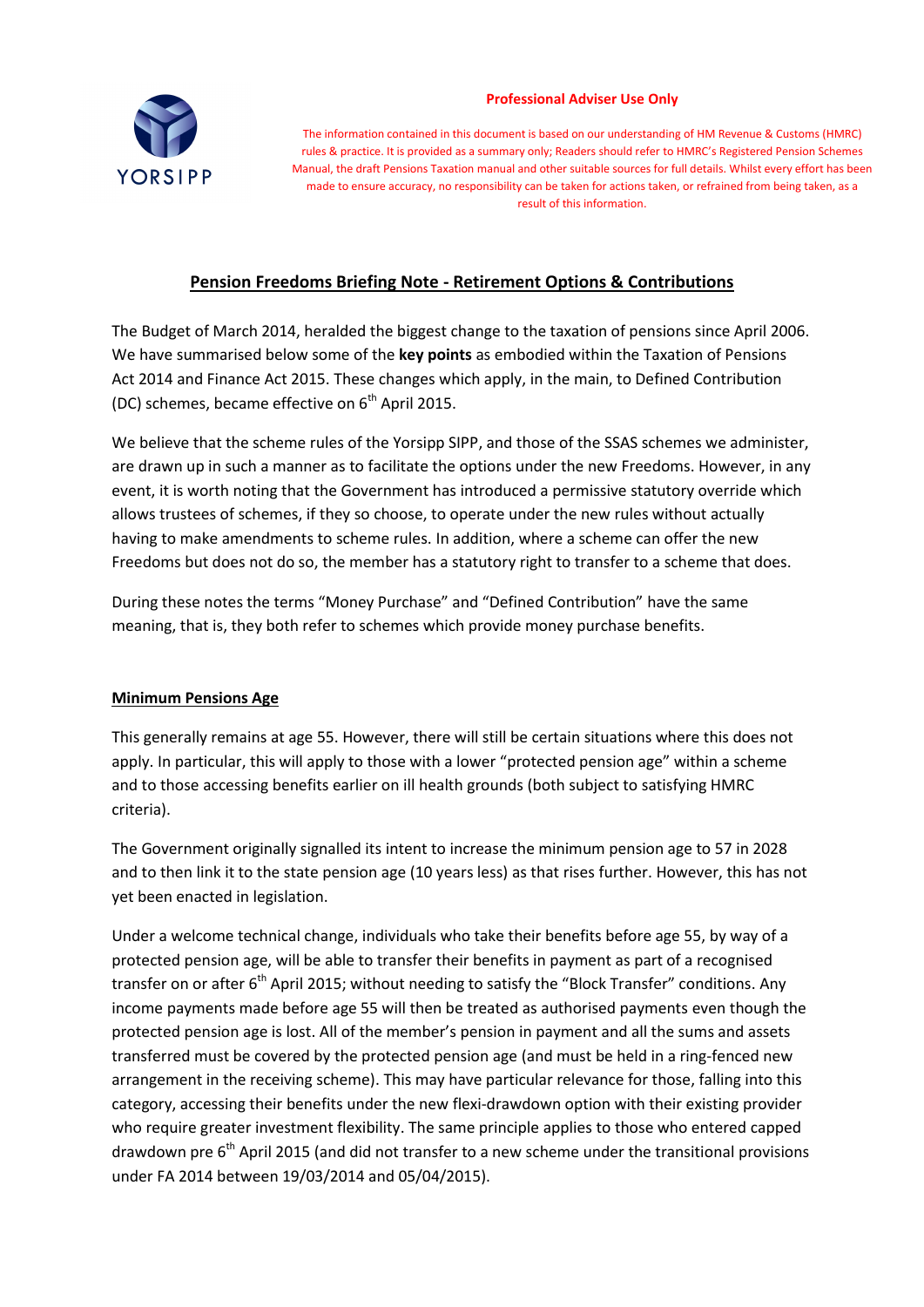

#### **Professional Adviser Use Only**

The information contained in this document is based on our understanding of HM Revenue & Customs (HMRC) rules & practice. It is provided as a summary only; Readers should refer to HMRC's Registered Pension Schemes Manual, the draft Pensions Taxation manual and other suitable sources for full details. Whilst every effort has been made to ensure accuracy, no responsibility can be taken for actions taken, or refrained from being taken, as a result of this information.

# **Pension Freedoms Briefing Note - Retirement Options & Contributions**

The Budget of March 2014, heralded the biggest change to the taxation of pensions since April 2006. We have summarised below some of the **key points** as embodied within the Taxation of Pensions Act 2014 and Finance Act 2015. These changes which apply, in the main, to Defined Contribution (DC) schemes, became effective on  $6<sup>th</sup>$  April 2015.

We believe that the scheme rules of the Yorsipp SIPP, and those of the SSAS schemes we administer, are drawn up in such a manner as to facilitate the options under the new Freedoms. However, in any event, it is worth noting that the Government has introduced a permissive statutory override which allows trustees of schemes, if they so choose, to operate under the new rules without actually having to make amendments to scheme rules. In addition, where a scheme can offer the new Freedoms but does not do so, the member has a statutory right to transfer to a scheme that does.

During these notes the terms "Money Purchase" and "Defined Contribution" have the same meaning, that is, they both refer to schemes which provide money purchase benefits.

#### **Minimum Pensions Age**

This generally remains at age 55. However, there will still be certain situations where this does not apply. In particular, this will apply to those with a lower "protected pension age" within a scheme and to those accessing benefits earlier on ill health grounds (both subject to satisfying HMRC criteria).

The Government originally signalled its intent to increase the minimum pension age to 57 in 2028 and to then link it to the state pension age (10 years less) as that rises further. However, this has not yet been enacted in legislation.

Under a welcome technical change, individuals who take their benefits before age 55, by way of a protected pension age, will be able to transfer their benefits in payment as part of a recognised transfer on or after  $6<sup>th</sup>$  April 2015; without needing to satisfy the "Block Transfer" conditions. Any income payments made before age 55 will then be treated as authorised payments even though the protected pension age is lost. All of the member's pension in payment and all the sums and assets transferred must be covered by the protected pension age (and must be held in a ring-fenced new arrangement in the receiving scheme). This may have particular relevance for those, falling into this category, accessing their benefits under the new flexi-drawdown option with their existing provider who require greater investment flexibility. The same principle applies to those who entered capped drawdown pre 6<sup>th</sup> April 2015 (and did not transfer to a new scheme under the transitional provisions under FA 2014 between 19/03/2014 and 05/04/2015).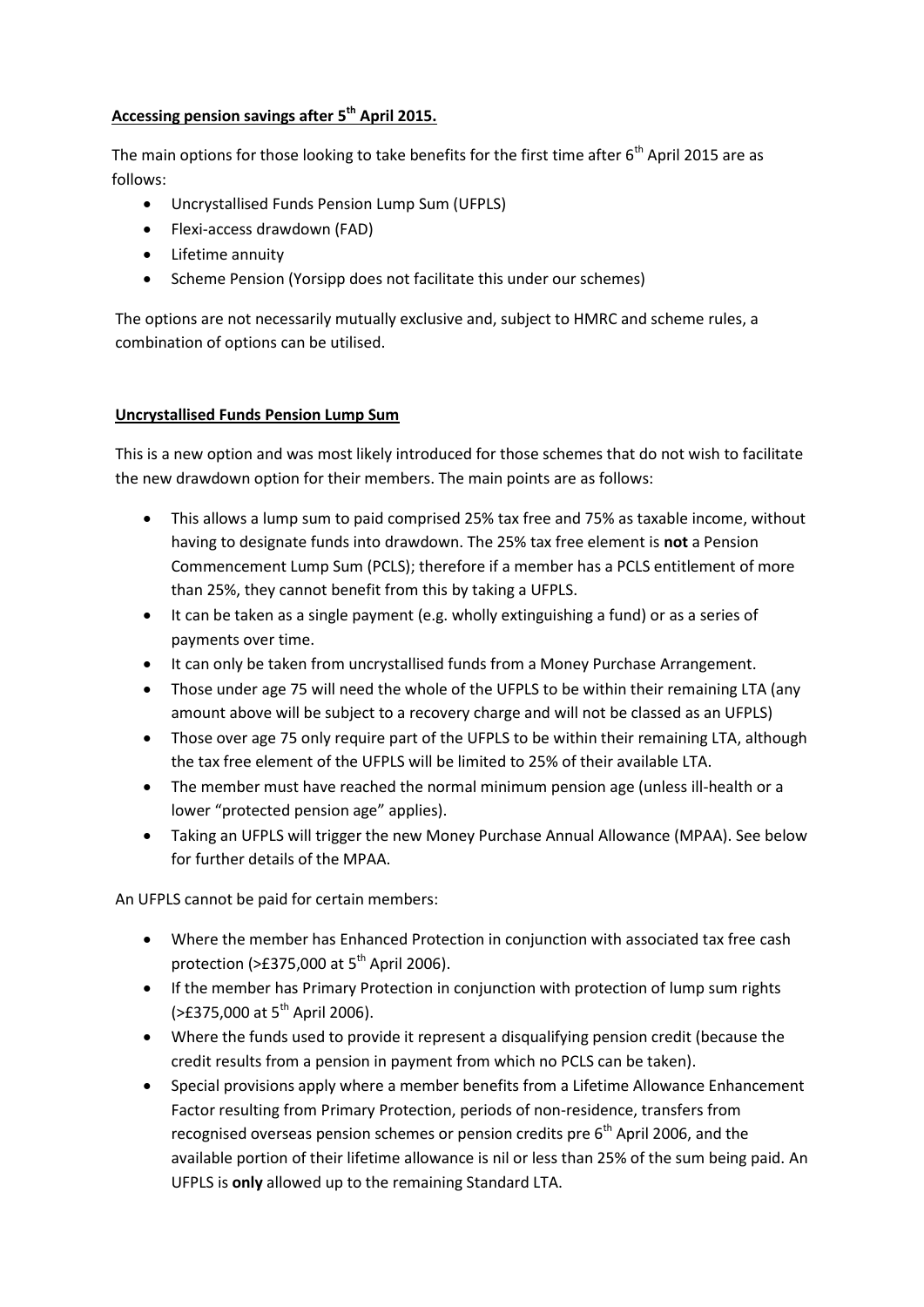### **Accessing pension savings after 5th April 2015.**

The main options for those looking to take benefits for the first time after  $6<sup>th</sup>$  April 2015 are as follows:

- Uncrystallised Funds Pension Lump Sum (UFPLS)
- Flexi-access drawdown (FAD)
- Lifetime annuity
- Scheme Pension (Yorsipp does not facilitate this under our schemes)

The options are not necessarily mutually exclusive and, subject to HMRC and scheme rules, a combination of options can be utilised.

### **Uncrystallised Funds Pension Lump Sum**

This is a new option and was most likely introduced for those schemes that do not wish to facilitate the new drawdown option for their members. The main points are as follows:

- This allows a lump sum to paid comprised 25% tax free and 75% as taxable income, without having to designate funds into drawdown. The 25% tax free element is **not** a Pension Commencement Lump Sum (PCLS); therefore if a member has a PCLS entitlement of more than 25%, they cannot benefit from this by taking a UFPLS.
- It can be taken as a single payment (e.g. wholly extinguishing a fund) or as a series of payments over time.
- It can only be taken from uncrystallised funds from a Money Purchase Arrangement.
- Those under age 75 will need the whole of the UFPLS to be within their remaining LTA (any amount above will be subject to a recovery charge and will not be classed as an UFPLS)
- Those over age 75 only require part of the UFPLS to be within their remaining LTA, although the tax free element of the UFPLS will be limited to 25% of their available LTA.
- The member must have reached the normal minimum pension age (unless ill-health or a lower "protected pension age" applies).
- Taking an UFPLS will trigger the new Money Purchase Annual Allowance (MPAA). See below for further details of the MPAA.

An UFPLS cannot be paid for certain members:

- Where the member has Enhanced Protection in conjunction with associated tax free cash protection ( $>$ £375,000 at 5<sup>th</sup> April 2006).
- If the member has Primary Protection in conjunction with protection of lump sum rights  $($ >£375,000 at 5<sup>th</sup> April 2006).
- Where the funds used to provide it represent a disqualifying pension credit (because the credit results from a pension in payment from which no PCLS can be taken).
- Special provisions apply where a member benefits from a Lifetime Allowance Enhancement Factor resulting from Primary Protection, periods of non-residence, transfers from recognised overseas pension schemes or pension credits pre  $6<sup>th</sup>$  April 2006, and the available portion of their lifetime allowance is nil or less than 25% of the sum being paid. An UFPLS is **only** allowed up to the remaining Standard LTA.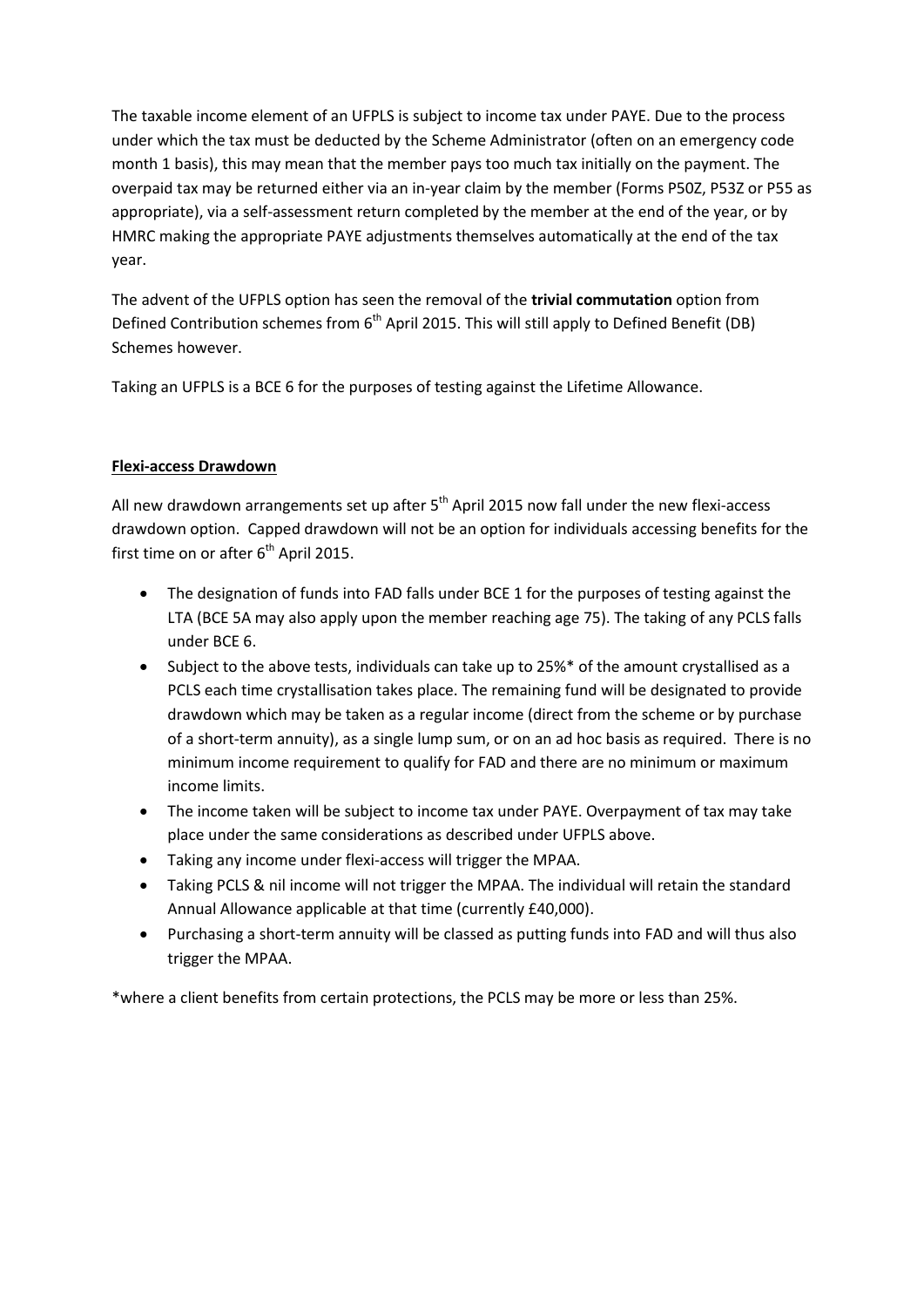The taxable income element of an UFPLS is subject to income tax under PAYE. Due to the process under which the tax must be deducted by the Scheme Administrator (often on an emergency code month 1 basis), this may mean that the member pays too much tax initially on the payment. The overpaid tax may be returned either via an in-year claim by the member (Forms P50Z, P53Z or P55 as appropriate), via a self-assessment return completed by the member at the end of the year, or by HMRC making the appropriate PAYE adjustments themselves automatically at the end of the tax year.

The advent of the UFPLS option has seen the removal of the **trivial commutation** option from Defined Contribution schemes from  $6<sup>th</sup>$  April 2015. This will still apply to Defined Benefit (DB) Schemes however.

Taking an UFPLS is a BCE 6 for the purposes of testing against the Lifetime Allowance.

# **Flexi-access Drawdown**

All new drawdown arrangements set up after  $5<sup>th</sup>$  April 2015 now fall under the new flexi-access drawdown option. Capped drawdown will not be an option for individuals accessing benefits for the first time on or after  $6<sup>th</sup>$  April 2015.

- The designation of funds into FAD falls under BCE 1 for the purposes of testing against the LTA (BCE 5A may also apply upon the member reaching age 75). The taking of any PCLS falls under BCE 6.
- Subject to the above tests, individuals can take up to 25%\* of the amount crystallised as a PCLS each time crystallisation takes place. The remaining fund will be designated to provide drawdown which may be taken as a regular income (direct from the scheme or by purchase of a short-term annuity), as a single lump sum, or on an ad hoc basis as required. There is no minimum income requirement to qualify for FAD and there are no minimum or maximum income limits.
- The income taken will be subject to income tax under PAYE. Overpayment of tax may take place under the same considerations as described under UFPLS above.
- Taking any income under flexi-access will trigger the MPAA.
- Taking PCLS & nil income will not trigger the MPAA. The individual will retain the standard Annual Allowance applicable at that time (currently £40,000).
- Purchasing a short-term annuity will be classed as putting funds into FAD and will thus also trigger the MPAA.

\*where a client benefits from certain protections, the PCLS may be more or less than 25%.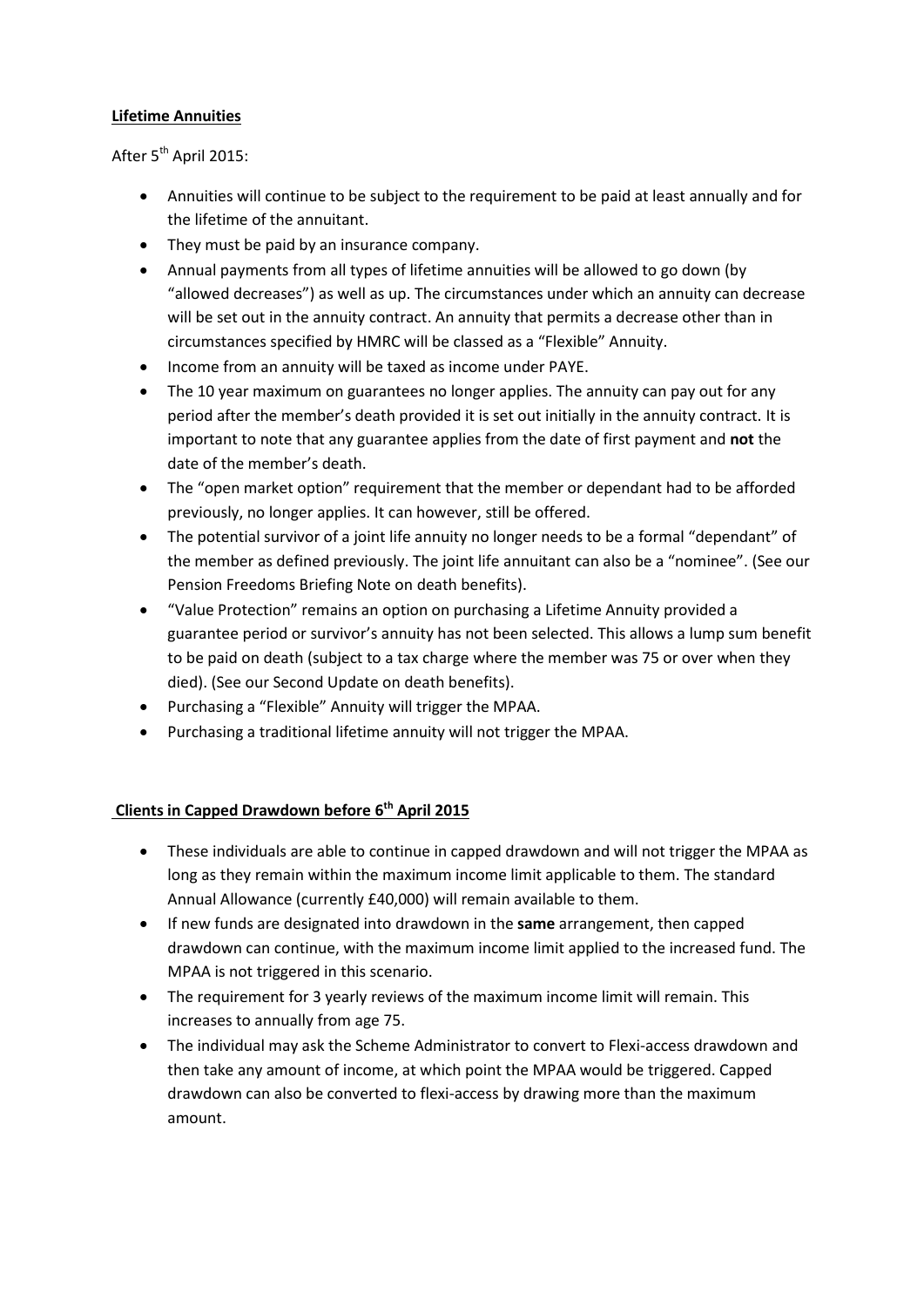#### **Lifetime Annuities**

After 5<sup>th</sup> April 2015:

- Annuities will continue to be subject to the requirement to be paid at least annually and for the lifetime of the annuitant.
- They must be paid by an insurance company.
- Annual payments from all types of lifetime annuities will be allowed to go down (by "allowed decreases") as well as up. The circumstances under which an annuity can decrease will be set out in the annuity contract. An annuity that permits a decrease other than in circumstances specified by HMRC will be classed as a "Flexible" Annuity.
- Income from an annuity will be taxed as income under PAYE.
- The 10 year maximum on guarantees no longer applies. The annuity can pay out for any period after the member's death provided it is set out initially in the annuity contract. It is important to note that any guarantee applies from the date of first payment and **not** the date of the member's death.
- The "open market option" requirement that the member or dependant had to be afforded previously, no longer applies. It can however, still be offered.
- The potential survivor of a joint life annuity no longer needs to be a formal "dependant" of the member as defined previously. The joint life annuitant can also be a "nominee". (See our Pension Freedoms Briefing Note on death benefits).
- "Value Protection" remains an option on purchasing a Lifetime Annuity provided a guarantee period or survivor's annuity has not been selected. This allows a lump sum benefit to be paid on death (subject to a tax charge where the member was 75 or over when they died). (See our Second Update on death benefits).
- Purchasing a "Flexible" Annuity will trigger the MPAA.
- Purchasing a traditional lifetime annuity will not trigger the MPAA.

### **Clients in Capped Drawdown before 6th April 2015**

- These individuals are able to continue in capped drawdown and will not trigger the MPAA as long as they remain within the maximum income limit applicable to them. The standard Annual Allowance (currently £40,000) will remain available to them.
- If new funds are designated into drawdown in the **same** arrangement, then capped drawdown can continue, with the maximum income limit applied to the increased fund. The MPAA is not triggered in this scenario.
- The requirement for 3 yearly reviews of the maximum income limit will remain. This increases to annually from age 75.
- The individual may ask the Scheme Administrator to convert to Flexi-access drawdown and then take any amount of income, at which point the MPAA would be triggered. Capped drawdown can also be converted to flexi-access by drawing more than the maximum amount.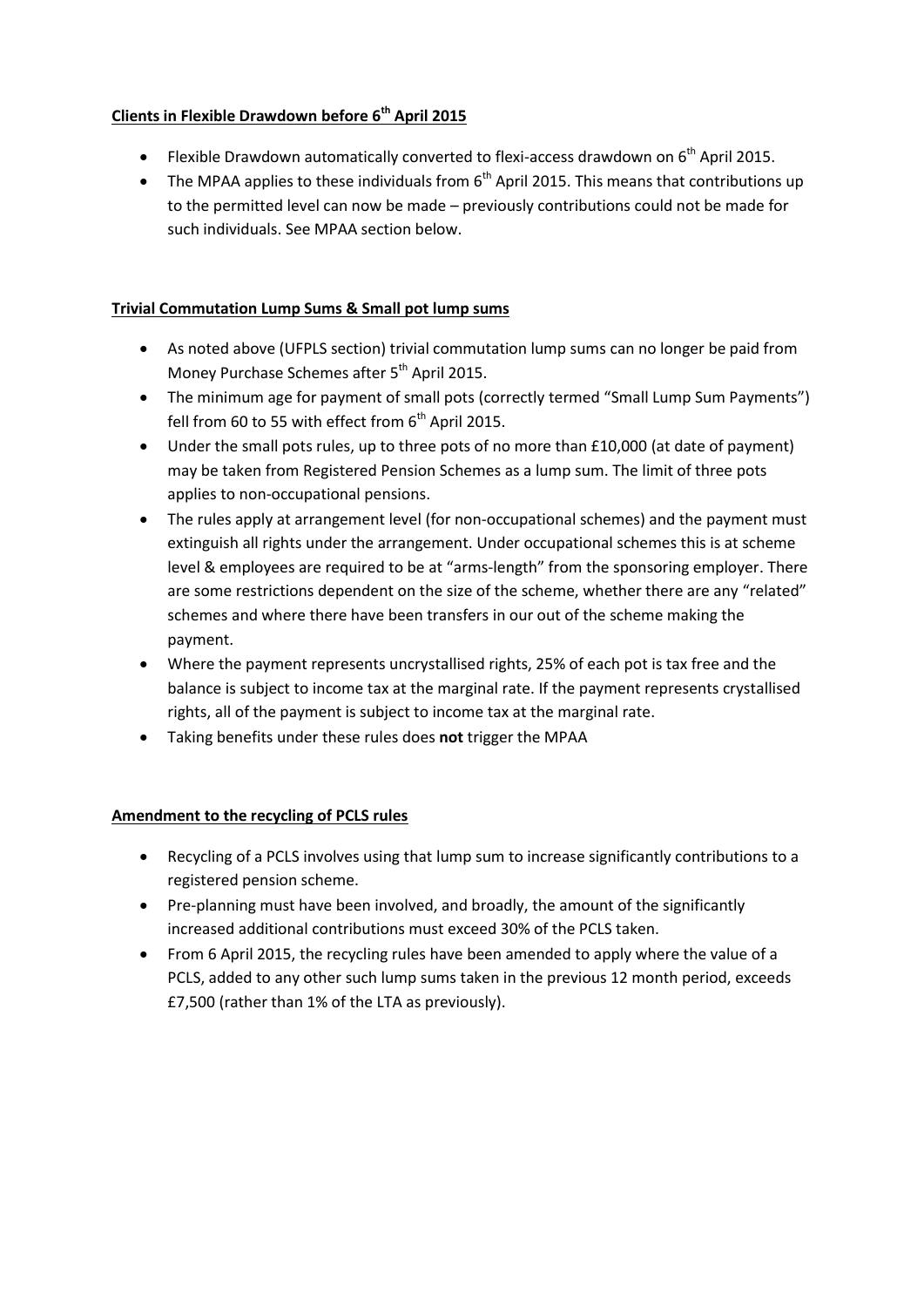# **Clients in Flexible Drawdown before 6th April 2015**

- Flexible Drawdown automatically converted to flexi-access drawdown on  $6<sup>th</sup>$  April 2015.
- The MPAA applies to these individuals from  $6<sup>th</sup>$  April 2015. This means that contributions up to the permitted level can now be made – previously contributions could not be made for such individuals. See MPAA section below.

# **Trivial Commutation Lump Sums & Small pot lump sums**

- As noted above (UFPLS section) trivial commutation lump sums can no longer be paid from Money Purchase Schemes after 5<sup>th</sup> April 2015.
- The minimum age for payment of small pots (correctly termed "Small Lump Sum Payments") fell from 60 to 55 with effect from  $6<sup>th</sup>$  April 2015.
- Under the small pots rules, up to three pots of no more than £10,000 (at date of payment) may be taken from Registered Pension Schemes as a lump sum. The limit of three pots applies to non-occupational pensions.
- The rules apply at arrangement level (for non-occupational schemes) and the payment must extinguish all rights under the arrangement. Under occupational schemes this is at scheme level & employees are required to be at "arms-length" from the sponsoring employer. There are some restrictions dependent on the size of the scheme, whether there are any "related" schemes and where there have been transfers in our out of the scheme making the payment.
- Where the payment represents uncrystallised rights, 25% of each pot is tax free and the balance is subject to income tax at the marginal rate. If the payment represents crystallised rights, all of the payment is subject to income tax at the marginal rate.
- Taking benefits under these rules does **not** trigger the MPAA

### **Amendment to the recycling of PCLS rules**

- Recycling of a PCLS involves using that lump sum to increase significantly contributions to a registered pension scheme.
- Pre-planning must have been involved, and broadly, the amount of the significantly increased additional contributions must exceed 30% of the PCLS taken.
- From 6 April 2015, the recycling rules have been amended to apply where the value of a PCLS, added to any other such lump sums taken in the previous 12 month period, exceeds £7,500 (rather than 1% of the LTA as previously).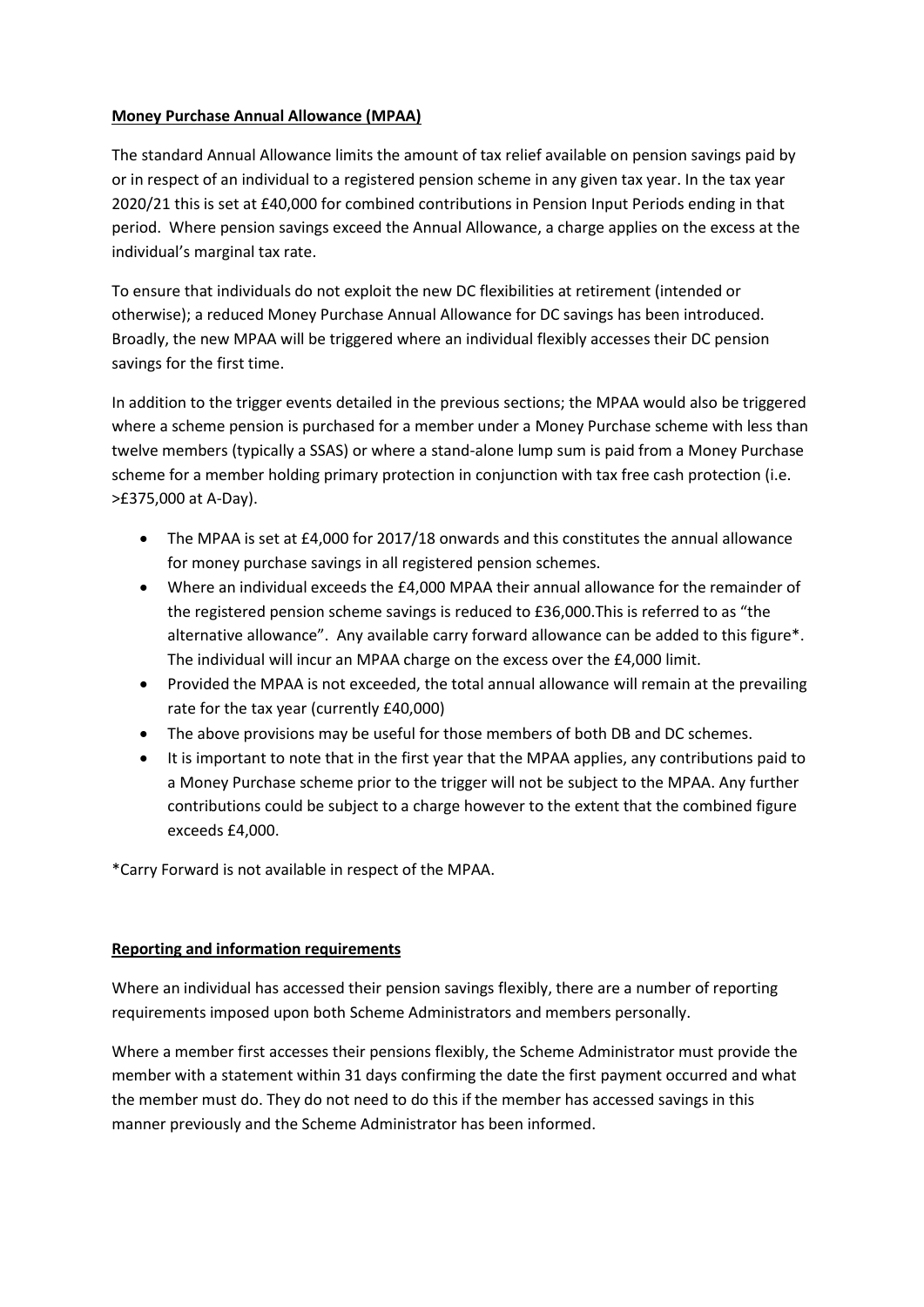### **Money Purchase Annual Allowance (MPAA)**

The standard Annual Allowance limits the amount of tax relief available on pension savings paid by or in respect of an individual to a registered pension scheme in any given tax year. In the tax year 2020/21 this is set at £40,000 for combined contributions in Pension Input Periods ending in that period. Where pension savings exceed the Annual Allowance, a charge applies on the excess at the individual's marginal tax rate.

To ensure that individuals do not exploit the new DC flexibilities at retirement (intended or otherwise); a reduced Money Purchase Annual Allowance for DC savings has been introduced. Broadly, the new MPAA will be triggered where an individual flexibly accesses their DC pension savings for the first time.

In addition to the trigger events detailed in the previous sections; the MPAA would also be triggered where a scheme pension is purchased for a member under a Money Purchase scheme with less than twelve members (typically a SSAS) or where a stand-alone lump sum is paid from a Money Purchase scheme for a member holding primary protection in conjunction with tax free cash protection (i.e. >£375,000 at A-Day).

- The MPAA is set at £4,000 for 2017/18 onwards and this constitutes the annual allowance for money purchase savings in all registered pension schemes.
- Where an individual exceeds the £4,000 MPAA their annual allowance for the remainder of the registered pension scheme savings is reduced to £36,000.This is referred to as "the alternative allowance". Any available carry forward allowance can be added to this figure\*. The individual will incur an MPAA charge on the excess over the £4,000 limit.
- Provided the MPAA is not exceeded, the total annual allowance will remain at the prevailing rate for the tax year (currently £40,000)
- The above provisions may be useful for those members of both DB and DC schemes.
- It is important to note that in the first year that the MPAA applies, any contributions paid to a Money Purchase scheme prior to the trigger will not be subject to the MPAA. Any further contributions could be subject to a charge however to the extent that the combined figure exceeds £4,000.

\*Carry Forward is not available in respect of the MPAA.

#### **Reporting and information requirements**

Where an individual has accessed their pension savings flexibly, there are a number of reporting requirements imposed upon both Scheme Administrators and members personally.

Where a member first accesses their pensions flexibly, the Scheme Administrator must provide the member with a statement within 31 days confirming the date the first payment occurred and what the member must do. They do not need to do this if the member has accessed savings in this manner previously and the Scheme Administrator has been informed.